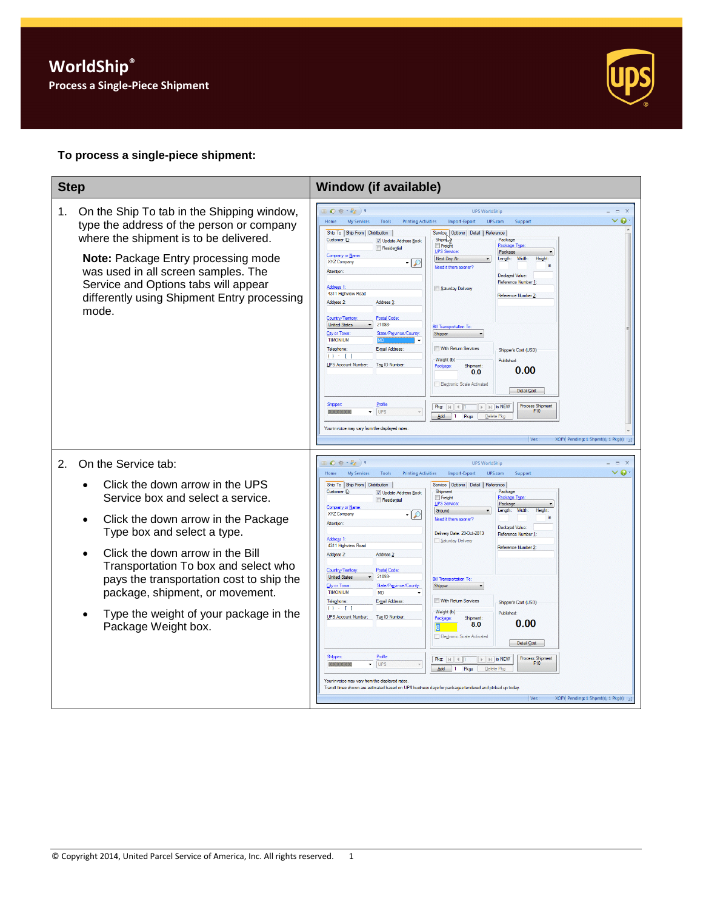

## **To process a single-piece shipment:**

| <b>Step</b>                                                                                                                                                                                                                                                                                                                                                                                         | <b>Window (if available)</b>                                                                                                                                                                                                                                                                                                                                                                                                                                                                                                                                                                                                                                                                                                                                                                                                                                                                                                                                                                                                                                                                                                                                                                                                                                                                                                                                                                                                                                                                                                                              |
|-----------------------------------------------------------------------------------------------------------------------------------------------------------------------------------------------------------------------------------------------------------------------------------------------------------------------------------------------------------------------------------------------------|-----------------------------------------------------------------------------------------------------------------------------------------------------------------------------------------------------------------------------------------------------------------------------------------------------------------------------------------------------------------------------------------------------------------------------------------------------------------------------------------------------------------------------------------------------------------------------------------------------------------------------------------------------------------------------------------------------------------------------------------------------------------------------------------------------------------------------------------------------------------------------------------------------------------------------------------------------------------------------------------------------------------------------------------------------------------------------------------------------------------------------------------------------------------------------------------------------------------------------------------------------------------------------------------------------------------------------------------------------------------------------------------------------------------------------------------------------------------------------------------------------------------------------------------------------------|
| On the Ship To tab in the Shipping window,<br>1.<br>type the address of the person or company<br>where the shipment is to be delivered.<br>Note: Package Entry processing mode<br>was used in all screen samples. The<br>Service and Options tabs will appear<br>differently using Shipment Entry processing<br>mode.                                                                               | $\bullet$ $\bullet$ $\bullet$ $\bullet$ $)$ $\bullet$<br><b>UPS WorldShip</b><br>ี ∙<br><b>My Services</b><br><b>Printing Activities</b><br>Import-Export<br>UPS.com<br>Home<br>Tools<br>Support<br>Ship To Ship From   Distribution<br>Service, Options   Detail   Reference<br>Customer ID:<br>Shipm.<br>Package<br>Update Address Book<br>Freight<br>Package Type<br>Residential<br><u>U</u> PS Service<br>Package<br>Company or Name<br>Next Day Air<br>Length:<br>Width:<br>Height:<br>XYZ Company<br>- P<br>Need it there sooner<br>Attention<br>Declared Value:<br><b>Reference Number</b><br><b>Address 1</b><br>Saturday Delivery<br>4311 Highview Road<br>Reference Number 2:<br>Address 2:<br>Address <sub>3</sub><br>Country/Territory<br><b>Postal Code</b><br>21093-<br><b>United States</b><br><b>Bill Transportation To</b><br>City or Town<br>State/Province/County:<br>Shipper<br><b>TIMONIUM</b><br>Telephone:<br>E-mail Address:<br>With Return Services<br>Shipper's Cost (USD)<br>$() - []$<br>Weight (b)<br><b>Published</b><br>UPS Account Number:<br>Tax ID Number<br>Shipment:<br>Package<br>0.00<br>0.0<br><b>Electronic Scale Activated</b><br>Detail Cost<br>Profile<br><b>Process Shipment</b><br>$Pkg:  A $ $ A $<br>$\mathbb{F}$ is NEW<br>UPS<br>F <sub>10</sub><br>Add   1 Pkgs<br>Delete Pkg<br>Your invoice may vary from the displayed rates<br>Ver:<br>XOFY Pending: 1 Shpmt(s), 1 Pkg(s)                                                                                                                           |
| 2.<br>On the Service tab:<br>Click the down arrow in the UPS<br>Service box and select a service.<br>Click the down arrow in the Package<br>Type box and select a type.<br>Click the down arrow in the Bill<br>Transportation To box and select who<br>pays the transportation cost to ship the<br>package, shipment, or movement.<br>Type the weight of your package in the<br>Package Weight box. | ◎春·霞)。<br><b>UPS WorldShin</b><br>T X<br>$\vee$ 0<br>Home<br>My Services<br>Tools<br><b>Printing Activities</b><br>Import-Export<br>UPS.com<br>Support<br>Ship To Ship From   Distribution  <br>Service   Options   Detail   Reference<br>Package<br>Customer ID:<br>Shipment<br>Update Address Book<br>Freight<br>Package Typ<br>Residential<br><b>UPS Service</b><br>Package<br>Company or Name<br>Length:<br>Width:<br>Ground<br>Height<br><b>XYZ Company</b><br>Need it there sooner?<br>Attention<br>Declared Value<br>Delivery Date: 29-Oct-2013<br>Reference Number<br>Address 1:<br>Saturday Delivery<br>4311 Highview Road<br>Reference Number 2<br>Address 2:<br>Address <sub>3</sub><br><b>Postal Code</b><br>Country/Territory<br>21093-<br><b>United States</b><br><b>Bill Transportation To</b><br>City or Town<br>State/Province/County<br>Shipper<br><b>TIMONIUM</b><br><b>MD</b><br>Telephone:<br>E-mail Address:<br>With Return Services<br>Shipper's Cost (USD)<br>$() - []$<br>Weight (b)<br><b>Published</b><br>UPS Account Number:<br>Tax ID Number<br>Package<br>Shinment<br>0.00<br>8.0<br><b>Electronic Scale Activated</b><br>Detail Cost<br>Profile<br>Shipper<br><b>Process Shipment</b><br>$\triangleright$ $\triangleright$ $\parallel$ is NEW<br>Pkg: $ A $ 4 1<br>F10<br>UPS<br>$Add \t1$<br>Pkgs<br>Delete Pkg<br>Your invoice may vary from the displayed rates<br>Transit times shown are estimated based on UPS business days for packages tendered and picked up today<br>Ver:<br>XOFY Pending: 1 Shpmt(s), 1 Pkg(s) |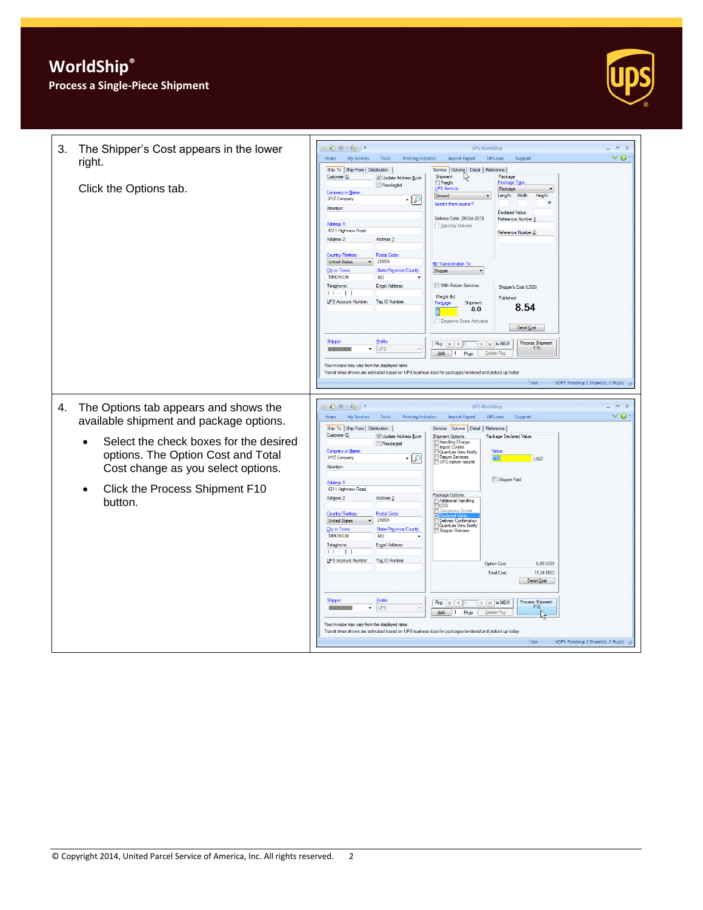

| 3.<br>The Shipper's Cost appears in the lower<br>right.<br>Click the Options tab.                                                                                                                                                                                                   | ◎ 卷一卷 ) =<br><b>UPS WorldShip</b><br>$-2$<br>$\vee$ 0<br><b>My Services</b><br>UPS.com<br>Home<br>Tools<br><b>Printing Activities</b><br>Import-Export<br>Support<br>Ship To Ship From   Distribution<br>Service   Options   Detail   Reference  <br>Customer ID:<br>Shipment<br>Package<br>V Update Address Book<br>Package Type<br>Freight<br>Residential<br><b>UPS</b> Service<br>Package<br>Company or Name<br>Ground<br>Length:<br>Width:<br>Height<br>XYZ Company<br>ما<br>in.<br>Need it there sooner?<br>Attention:<br><b>Declared Value:</b><br>Delivery Date: 29-Oct-2013<br>Reference Number 1<br>Address 1:<br>Saturday Delivery<br>4311 Highview Road<br>Reference Number 2:<br>Address 2:<br>Address <sub>3</sub><br><b>Postal Code</b><br>Country/Tenttory<br>21093-<br><b>United States</b><br><b>Bill Transportation To</b><br>State/Province/County<br><b>City or Town</b><br>Shipper<br><b>TIMONIUM</b><br><b>MD</b><br>With Return Services<br>E-mail Address:<br>Telephone:<br>Shipper's Cost (USD)<br>$() - 1$<br>Weight (b)<br>Published:<br>UPS Account Number:<br>Tax ID Number:<br>Package<br>Shipment:<br>8.54<br>8.0<br><b>Electronic Scale Activated</b><br>Detail Cost<br>Profile<br>Shipper<br>Process Shipment<br>$\mathbb{H}$ is NEW<br>$Pkg:  A $ 4 1<br>F10<br>UPS<br>۰<br><b>XXXXXX</b><br>Add<br>l 1<br>Pkgs<br>Delete Pkg<br>Your invoice may vary from the displayed rates<br>Transit times shown are estimated based on UPS business days for packages tendered and picked up today<br>Ver: :<br>XOFY Pending: 1 Shpmt(s), 1 Pkg(s) . |
|-------------------------------------------------------------------------------------------------------------------------------------------------------------------------------------------------------------------------------------------------------------------------------------|-------------------------------------------------------------------------------------------------------------------------------------------------------------------------------------------------------------------------------------------------------------------------------------------------------------------------------------------------------------------------------------------------------------------------------------------------------------------------------------------------------------------------------------------------------------------------------------------------------------------------------------------------------------------------------------------------------------------------------------------------------------------------------------------------------------------------------------------------------------------------------------------------------------------------------------------------------------------------------------------------------------------------------------------------------------------------------------------------------------------------------------------------------------------------------------------------------------------------------------------------------------------------------------------------------------------------------------------------------------------------------------------------------------------------------------------------------------------------------------------------------------------------------------------------------------------------------|
| The Options tab appears and shows the<br>4.<br>available shipment and package options.<br>Select the check boxes for the desired<br>$\bullet$<br>options. The Option Cost and Total<br>Cost change as you select options.<br>Click the Process Shipment F10<br>$\bullet$<br>button. | ◎春·乾)<br><b>UPS WorldShip</b><br>X<br>$\vee$ 0<br><b>My Services</b><br>UPS.com<br>Home<br>Tools<br><b>Printing Activities</b><br>Import-Export<br>Support<br>Ship To Ship From   Distribution  <br>Service Options Detail   Reference<br>Customer ID:<br>V Update Address Book<br><b>Shipment Options:</b><br>Package Declared Value<br><b>Handing Charge</b><br>Residential<br><b>Import Control</b><br>Company or Name<br>Value<br>Quantum View Notify<br>XYZ Company<br><b>Return Services</b><br><b>USD</b><br>₽<br>UPS carbon neutral<br>Attention<br>Shipper Paid<br>Address 1:<br>4311 Highview Road<br>Package Options:<br>Address 2:<br>Address <sub>3</sub> :<br><b>Additional Handling</b><br><b>COD</b><br><b>Postal Code</b><br>Country/Tentory<br>21093-<br><b>United States</b><br>Delivery Confirmation<br>Quantum View Notify<br>State/Province/County<br><b>City or Town</b><br>Shipper Release<br><b>TIMONIUM</b><br><b>MD</b><br>E-mail Address:<br>Telephone:<br>$() - [ ]$<br><b>UPS Account Number:</b><br>Tax ID Number:<br><b>Option Cost</b><br>6.80 USD<br><b>Total Cost:</b><br>15.34 USD<br>Detail Cost<br>Profile<br>Shippe<br>$\mathbb{F}$   $\mathbb{H}$   is NEW<br>Process Shipment<br>F10<br>$Pkg:  A $ $\parallel$ 1<br>UPS<br>$\overline{\phantom{a}}$<br>Add<br>Pkgs<br>$\vert$ 1<br>Delete Pkg<br>Your invoice may vary from the displayed rates<br>Transit times shown are estimated based on UPS business days for packages tendered and picked up today<br>XOFY Pending: 2 Shpmt(s), 2 Pkg(s)<br>Ver:                              |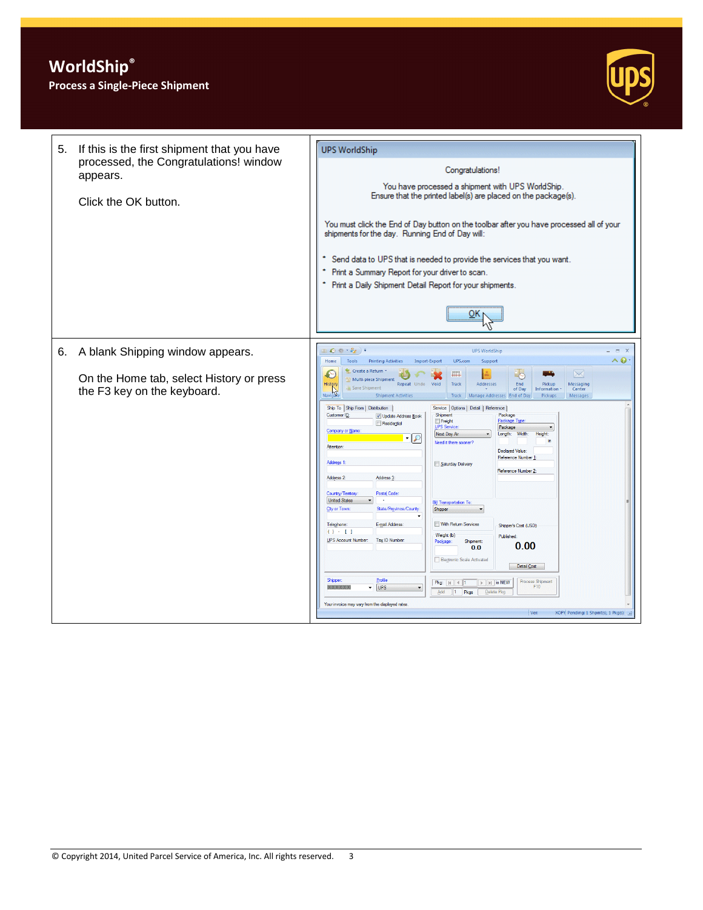## **Process a Single-Piece Shipment**



| 5. | If this is the first shipment that you have<br>processed, the Congratulations! window<br>appears.<br>Click the OK button. | <b>UPS WorldShip</b><br>Congratulations!<br>You have processed a shipment with UPS WorldShip.<br>Ensure that the printed label(s) are placed on the package(s).<br>You must click the End of Day button on the toolbar after you have processed all of your<br>shipments for the day. Running End of Day will:<br>Send data to UPS that is needed to provide the services that you want.<br>Print a Summary Report for your driver to scan.<br>Print a Daily Shipment Detail Report for your shipments.                                                                                                                                                                                                                                                                                                                                                                                                                                                                                                                                                                                                                                                                                                                                                                                                                                                                                                                                                                                                                                                                                                                                                                                                                                                                                               |
|----|---------------------------------------------------------------------------------------------------------------------------|-------------------------------------------------------------------------------------------------------------------------------------------------------------------------------------------------------------------------------------------------------------------------------------------------------------------------------------------------------------------------------------------------------------------------------------------------------------------------------------------------------------------------------------------------------------------------------------------------------------------------------------------------------------------------------------------------------------------------------------------------------------------------------------------------------------------------------------------------------------------------------------------------------------------------------------------------------------------------------------------------------------------------------------------------------------------------------------------------------------------------------------------------------------------------------------------------------------------------------------------------------------------------------------------------------------------------------------------------------------------------------------------------------------------------------------------------------------------------------------------------------------------------------------------------------------------------------------------------------------------------------------------------------------------------------------------------------------------------------------------------------------------------------------------------------|
|    | 6. A blank Shipping window appears.<br>On the Home tab, select History or press<br>the F3 key on the keyboard.            | $\Box$ $\Theta$ $\hat{\theta}$ $\rightarrow$ $\frac{2}{3}$ $\Box$ $\Rightarrow$<br><b>UPS WorldShip</b><br>$-2$<br>への<br><b>Printing Activities</b><br>UPS.com<br>Support<br>Home<br>Tools<br>Import-Export<br><b>T</b> Create a Return<br>G-<br>$\searrow$<br>iiii i<br>O<br>Multi-piece Shipment<br>History<br>Repeat Undo<br>Addresses<br>End<br>Pickup<br>Messaging<br>Void<br>Track<br>Save Shinment<br>of Day<br><b>Information</b><br>Center<br>Navigate<br>Track Manage Addresses End of Day<br><b>Shipment Activities</b><br>Pickups<br>Messages<br>Ship To Ship From   Distribution<br>Service   Options   Detail   Reference<br>Customer ID:<br>Shipment<br>Package<br>V Update Address Book<br>Freight<br>Package Type<br>Residential<br>UPS Service:<br>Package<br>Company or Name<br>Length: Width:<br>Next Day Air<br>Height:<br>Need it there sooner?<br>Attention<br>Declared Value:<br>Reference Number 1<br>Address <sub>1</sub><br>Saturday Delivery<br>Reference Number 2:<br>Address 2:<br>Address 3:<br>Country/Territory<br>Postal Code:<br><b>United States</b><br><b>Bill Transportation To:</b><br><b>City or Town</b><br>State/Province/County:<br>Shipper<br>With Return Services<br>E-mail Address:<br>Telephone:<br>Shipper's Cost (USD)<br>$() - 1$<br>Weight (b)<br>Published:<br><b>UPS Account Number:</b><br>Tax ID Number<br>Package:<br>Shipment:<br>0.00<br>0.0<br><b>Electronic Scale Activated</b><br>Detail Cost<br>Profile<br>Shipper<br>Process Shipment<br>$\triangleright$   $\triangleright$   is NEW<br>Pkg: $  $ $  $ $  $ $  $ $  $<br><b>UPS</b><br>F10<br><b>XXXXX</b><br>$\overline{\phantom{a}}$<br>Add<br>Pkgs<br>$\mathbf{1}$<br>Delete Pkg<br>Your invoice may vary from the displayed rates<br>XOFY Pending: 1 Shpmt(s), 1 Pkg(s) .<br>Ver: |